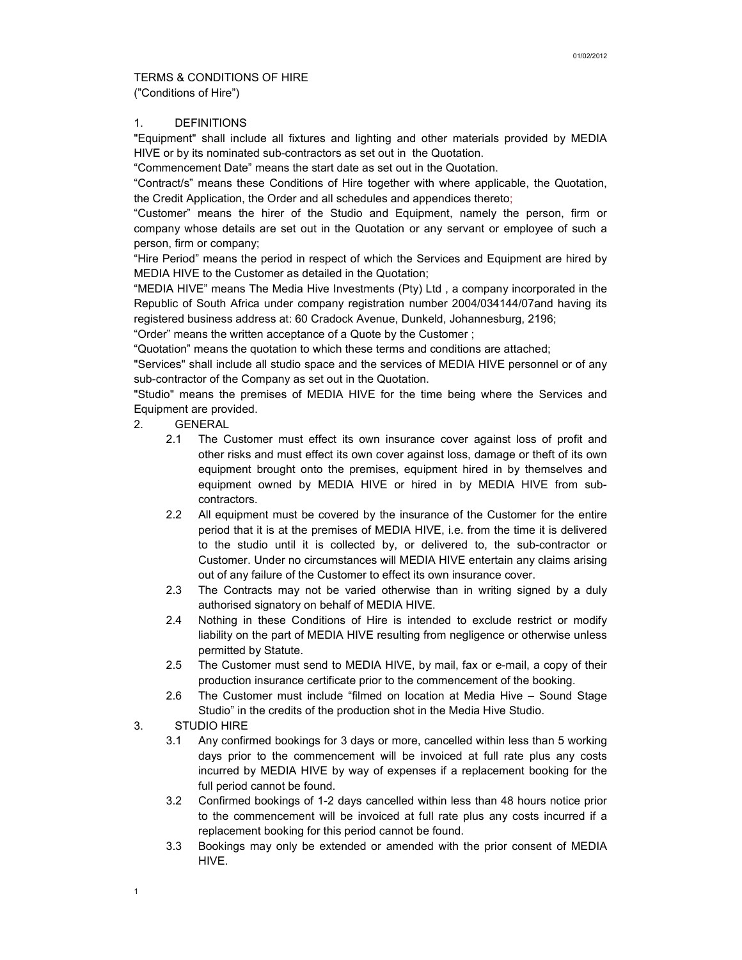## TERMS & CONDITIONS OF HIRE ("Conditions of Hire")

## 1. DEFINITIONS

"Equipment" shall include all fixtures and lighting and other materials provided by MEDIA HIVE or by its nominated sub-contractors as set out in the Quotation.

"Commencement Date" means the start date as set out in the Quotation.

"Contract/s" means these Conditions of Hire together with where applicable, the Quotation, the Credit Application, the Order and all schedules and appendices thereto;

"Customer" means the hirer of the Studio and Equipment, namely the person, firm or company whose details are set out in the Quotation or any servant or employee of such a person, firm or company;

"Hire Period" means the period in respect of which the Services and Equipment are hired by MEDIA HIVE to the Customer as detailed in the Quotation;

"MEDIA HIVE" means The Media Hive Investments (Pty) Ltd , a company incorporated in the Republic of South Africa under company registration number 2004/034144/07and having its registered business address at: 60 Cradock Avenue, Dunkeld, Johannesburg, 2196;

"Order" means the written acceptance of a Quote by the Customer ;

"Quotation" means the quotation to which these terms and conditions are attached;

"Services" shall include all studio space and the services of MEDIA HIVE personnel or of any sub-contractor of the Company as set out in the Quotation.

"Studio" means the premises of MEDIA HIVE for the time being where the Services and Equipment are provided.

- 2. GENERAL
	- 2.1 The Customer must effect its own insurance cover against loss of profit and other risks and must effect its own cover against loss, damage or theft of its own equipment brought onto the premises, equipment hired in by themselves and equipment owned by MEDIA HIVE or hired in by MEDIA HIVE from subcontractors.
	- 2.2 All equipment must be covered by the insurance of the Customer for the entire period that it is at the premises of MEDIA HIVE, i.e. from the time it is delivered to the studio until it is collected by, or delivered to, the sub-contractor or Customer. Under no circumstances will MEDIA HIVE entertain any claims arising out of any failure of the Customer to effect its own insurance cover.
	- 2.3 The Contracts may not be varied otherwise than in writing signed by a duly authorised signatory on behalf of MEDIA HIVE.
	- 2.4 Nothing in these Conditions of Hire is intended to exclude restrict or modify liability on the part of MEDIA HIVE resulting from negligence or otherwise unless permitted by Statute.
	- 2.5 The Customer must send to MEDIA HIVE, by mail, fax or e-mail, a copy of their production insurance certificate prior to the commencement of the booking.
	- 2.6 The Customer must include "filmed on location at Media Hive Sound Stage Studio" in the credits of the production shot in the Media Hive Studio.
- 3. STUDIO HIRE

1

- 3.1 Any confirmed bookings for 3 days or more, cancelled within less than 5 working days prior to the commencement will be invoiced at full rate plus any costs incurred by MEDIA HIVE by way of expenses if a replacement booking for the full period cannot be found.
- 3.2 Confirmed bookings of 1-2 days cancelled within less than 48 hours notice prior to the commencement will be invoiced at full rate plus any costs incurred if a replacement booking for this period cannot be found.
- 3.3 Bookings may only be extended or amended with the prior consent of MEDIA HIVE.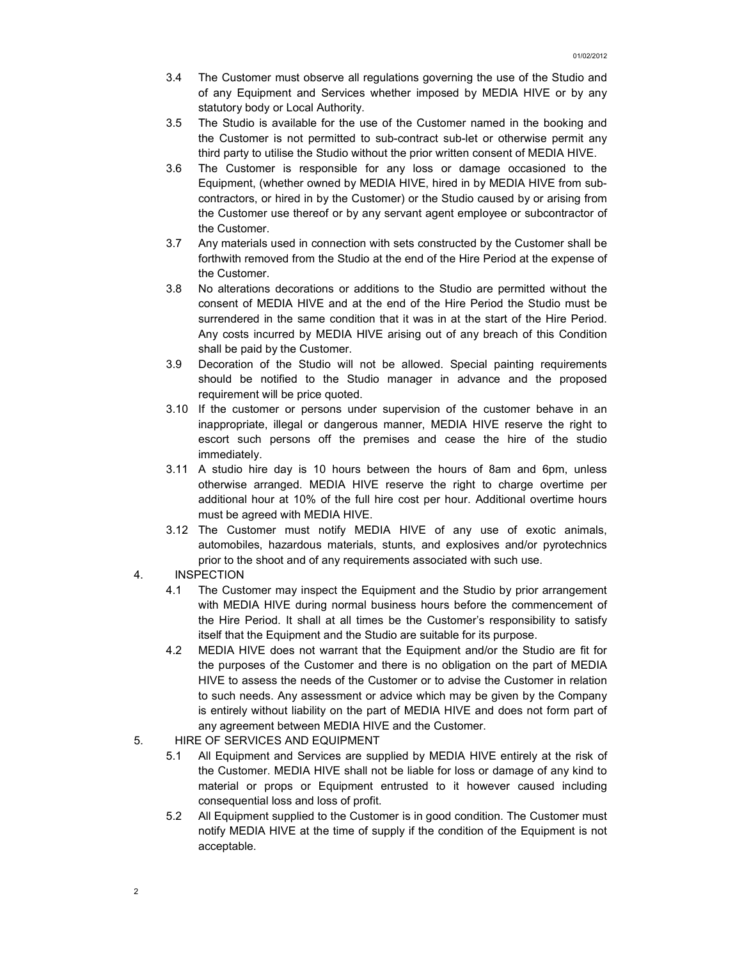- 3.4 The Customer must observe all regulations governing the use of the Studio and of any Equipment and Services whether imposed by MEDIA HIVE or by any statutory body or Local Authority.
- 3.5 The Studio is available for the use of the Customer named in the booking and the Customer is not permitted to sub-contract sub-let or otherwise permit any third party to utilise the Studio without the prior written consent of MEDIA HIVE.
- 3.6 The Customer is responsible for any loss or damage occasioned to the Equipment, (whether owned by MEDIA HIVE, hired in by MEDIA HIVE from subcontractors, or hired in by the Customer) or the Studio caused by or arising from the Customer use thereof or by any servant agent employee or subcontractor of the Customer.
- 3.7 Any materials used in connection with sets constructed by the Customer shall be forthwith removed from the Studio at the end of the Hire Period at the expense of the Customer.
- 3.8 No alterations decorations or additions to the Studio are permitted without the consent of MEDIA HIVE and at the end of the Hire Period the Studio must be surrendered in the same condition that it was in at the start of the Hire Period. Any costs incurred by MEDIA HIVE arising out of any breach of this Condition shall be paid by the Customer.
- 3.9 Decoration of the Studio will not be allowed. Special painting requirements should be notified to the Studio manager in advance and the proposed requirement will be price quoted.
- 3.10 If the customer or persons under supervision of the customer behave in an inappropriate, illegal or dangerous manner, MEDIA HIVE reserve the right to escort such persons off the premises and cease the hire of the studio immediately.
- 3.11 A studio hire day is 10 hours between the hours of 8am and 6pm, unless otherwise arranged. MEDIA HIVE reserve the right to charge overtime per additional hour at 10% of the full hire cost per hour. Additional overtime hours must be agreed with MEDIA HIVE.
- 3.12 The Customer must notify MEDIA HIVE of any use of exotic animals, automobiles, hazardous materials, stunts, and explosives and/or pyrotechnics prior to the shoot and of any requirements associated with such use.
- 4. INSPECTION
	- 4.1 The Customer may inspect the Equipment and the Studio by prior arrangement with MEDIA HIVE during normal business hours before the commencement of the Hire Period. It shall at all times be the Customer's responsibility to satisfy itself that the Equipment and the Studio are suitable for its purpose.
	- 4.2 MEDIA HIVE does not warrant that the Equipment and/or the Studio are fit for the purposes of the Customer and there is no obligation on the part of MEDIA HIVE to assess the needs of the Customer or to advise the Customer in relation to such needs. Any assessment or advice which may be given by the Company is entirely without liability on the part of MEDIA HIVE and does not form part of any agreement between MEDIA HIVE and the Customer.
- 5. HIRE OF SERVICES AND EQUIPMENT
	- 5.1 All Equipment and Services are supplied by MEDIA HIVE entirely at the risk of the Customer. MEDIA HIVE shall not be liable for loss or damage of any kind to material or props or Equipment entrusted to it however caused including consequential loss and loss of profit.
	- 5.2 All Equipment supplied to the Customer is in good condition. The Customer must notify MEDIA HIVE at the time of supply if the condition of the Equipment is not acceptable.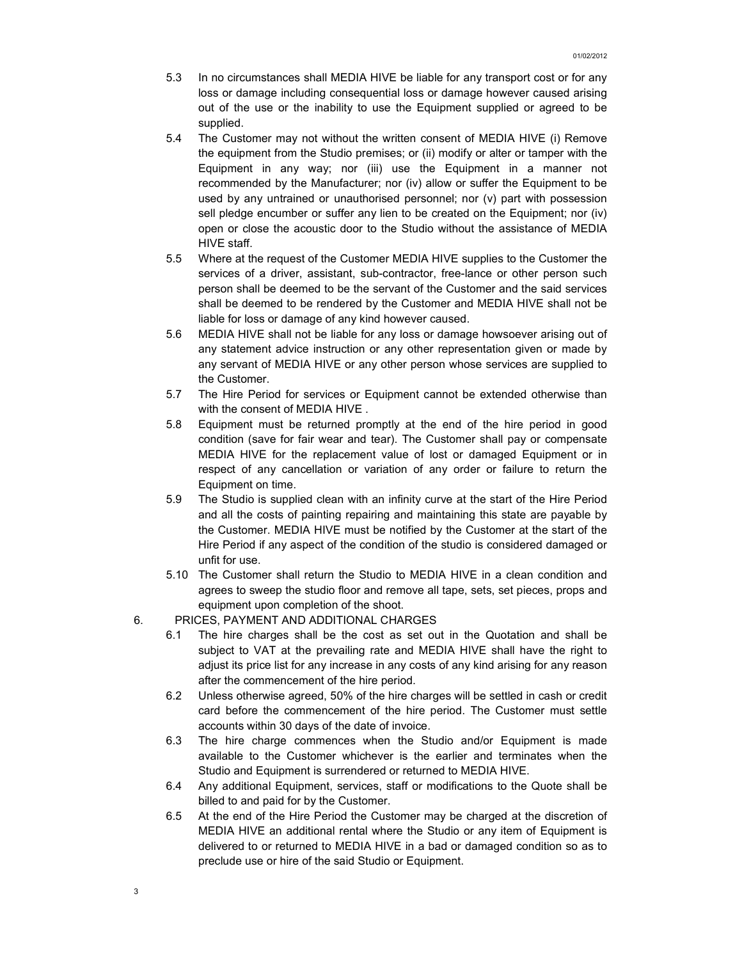- 5.3 In no circumstances shall MEDIA HIVE be liable for any transport cost or for any loss or damage including consequential loss or damage however caused arising out of the use or the inability to use the Equipment supplied or agreed to be supplied.
- 5.4 The Customer may not without the written consent of MEDIA HIVE (i) Remove the equipment from the Studio premises; or (ii) modify or alter or tamper with the Equipment in any way; nor (iii) use the Equipment in a manner not recommended by the Manufacturer; nor (iv) allow or suffer the Equipment to be used by any untrained or unauthorised personnel; nor (v) part with possession sell pledge encumber or suffer any lien to be created on the Equipment; nor (iv) open or close the acoustic door to the Studio without the assistance of MEDIA HIVE staff.
- 5.5 Where at the request of the Customer MEDIA HIVE supplies to the Customer the services of a driver, assistant, sub-contractor, free-lance or other person such person shall be deemed to be the servant of the Customer and the said services shall be deemed to be rendered by the Customer and MEDIA HIVE shall not be liable for loss or damage of any kind however caused.
- 5.6 MEDIA HIVE shall not be liable for any loss or damage howsoever arising out of any statement advice instruction or any other representation given or made by any servant of MEDIA HIVE or any other person whose services are supplied to the Customer.
- 5.7 The Hire Period for services or Equipment cannot be extended otherwise than with the consent of MEDIA HIVE .
- 5.8 Equipment must be returned promptly at the end of the hire period in good condition (save for fair wear and tear). The Customer shall pay or compensate MEDIA HIVE for the replacement value of lost or damaged Equipment or in respect of any cancellation or variation of any order or failure to return the Equipment on time.
- 5.9 The Studio is supplied clean with an infinity curve at the start of the Hire Period and all the costs of painting repairing and maintaining this state are payable by the Customer. MEDIA HIVE must be notified by the Customer at the start of the Hire Period if any aspect of the condition of the studio is considered damaged or unfit for use.
- 5.10 The Customer shall return the Studio to MEDIA HIVE in a clean condition and agrees to sweep the studio floor and remove all tape, sets, set pieces, props and equipment upon completion of the shoot.
- 6. PRICES, PAYMENT AND ADDITIONAL CHARGES
	- 6.1 The hire charges shall be the cost as set out in the Quotation and shall be subject to VAT at the prevailing rate and MEDIA HIVE shall have the right to adjust its price list for any increase in any costs of any kind arising for any reason after the commencement of the hire period.
	- 6.2 Unless otherwise agreed, 50% of the hire charges will be settled in cash or credit card before the commencement of the hire period. The Customer must settle accounts within 30 days of the date of invoice.
	- 6.3 The hire charge commences when the Studio and/or Equipment is made available to the Customer whichever is the earlier and terminates when the Studio and Equipment is surrendered or returned to MEDIA HIVE.
	- 6.4 Any additional Equipment, services, staff or modifications to the Quote shall be billed to and paid for by the Customer.
	- 6.5 At the end of the Hire Period the Customer may be charged at the discretion of MEDIA HIVE an additional rental where the Studio or any item of Equipment is delivered to or returned to MEDIA HIVE in a bad or damaged condition so as to preclude use or hire of the said Studio or Equipment.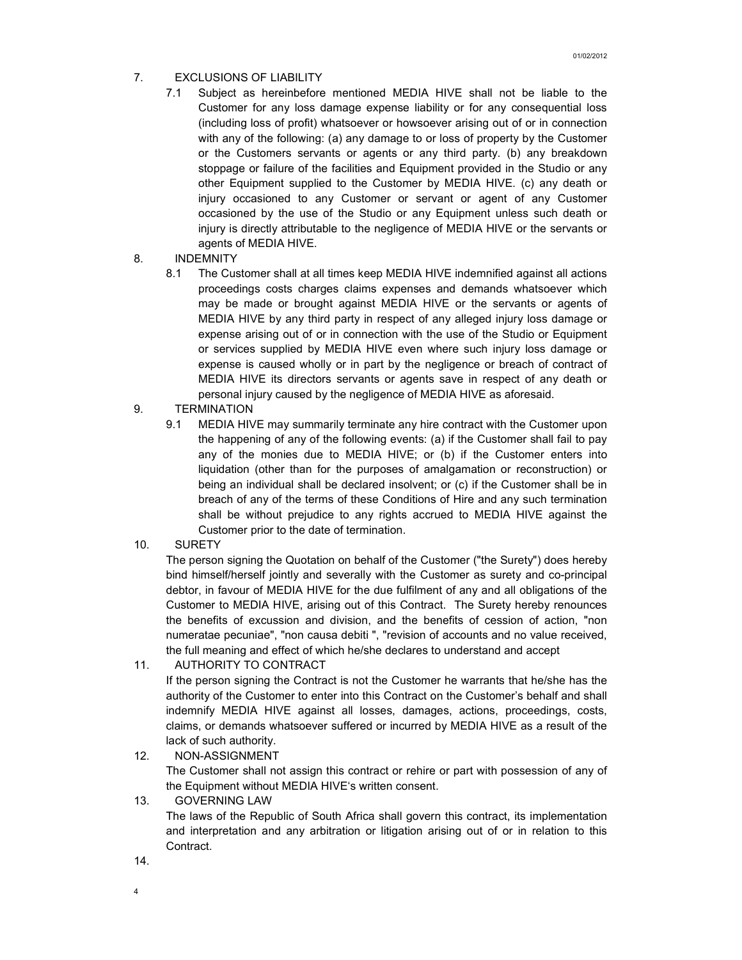- 7. EXCLUSIONS OF LIABILITY
	- 7.1 Subject as hereinbefore mentioned MEDIA HIVE shall not be liable to the Customer for any loss damage expense liability or for any consequential loss (including loss of profit) whatsoever or howsoever arising out of or in connection with any of the following: (a) any damage to or loss of property by the Customer or the Customers servants or agents or any third party. (b) any breakdown stoppage or failure of the facilities and Equipment provided in the Studio or any other Equipment supplied to the Customer by MEDIA HIVE. (c) any death or injury occasioned to any Customer or servant or agent of any Customer occasioned by the use of the Studio or any Equipment unless such death or injury is directly attributable to the negligence of MEDIA HIVE or the servants or agents of MEDIA HIVE.
- 8. INDEMNITY
	- 8.1 The Customer shall at all times keep MEDIA HIVE indemnified against all actions proceedings costs charges claims expenses and demands whatsoever which may be made or brought against MEDIA HIVE or the servants or agents of MEDIA HIVE by any third party in respect of any alleged injury loss damage or expense arising out of or in connection with the use of the Studio or Equipment or services supplied by MEDIA HIVE even where such injury loss damage or expense is caused wholly or in part by the negligence or breach of contract of MEDIA HIVE its directors servants or agents save in respect of any death or personal injury caused by the negligence of MEDIA HIVE as aforesaid.
- 9. TERMINATION
	- 9.1 MEDIA HIVE may summarily terminate any hire contract with the Customer upon the happening of any of the following events: (a) if the Customer shall fail to pay any of the monies due to MEDIA HIVE; or (b) if the Customer enters into liquidation (other than for the purposes of amalgamation or reconstruction) or being an individual shall be declared insolvent; or (c) if the Customer shall be in breach of any of the terms of these Conditions of Hire and any such termination shall be without prejudice to any rights accrued to MEDIA HIVE against the Customer prior to the date of termination.
- 10. SURETY

The person signing the Quotation on behalf of the Customer ("the Surety") does hereby bind himself/herself jointly and severally with the Customer as surety and co-principal debtor, in favour of MEDIA HIVE for the due fulfilment of any and all obligations of the Customer to MEDIA HIVE, arising out of this Contract. The Surety hereby renounces the benefits of excussion and division, and the benefits of cession of action, "non numeratae pecuniae", "non causa debiti ", "revision of accounts and no value received, the full meaning and effect of which he/she declares to understand and accept

11. AUTHORITY TO CONTRACT

If the person signing the Contract is not the Customer he warrants that he/she has the authority of the Customer to enter into this Contract on the Customer's behalf and shall indemnify MEDIA HIVE against all losses, damages, actions, proceedings, costs, claims, or demands whatsoever suffered or incurred by MEDIA HIVE as a result of the lack of such authority.

- 12. NON-ASSIGNMENT The Customer shall not assign this contract or rehire or part with possession of any of the Equipment without MEDIA HIVE's written consent.
- 13. GOVERNING LAW

The laws of the Republic of South Africa shall govern this contract, its implementation and interpretation and any arbitration or litigation arising out of or in relation to this Contract.

14.